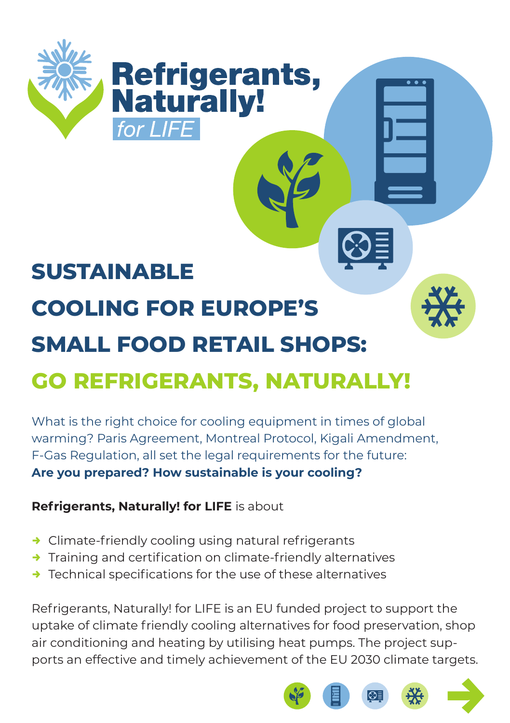

## **SUSTAINABLE COOLING FOR EUROPE'S SMALL FOOD RETAIL SHOPS: GO REFRIGERANTS, NATURALLY!**

What is the right choice for cooling equipment in times of global warming? Paris Agreement, Montreal Protocol, Kigali Amendment, F-Gas Regulation, all set the legal requirements for the future: **Are you prepared? How sustainable is your cooling?**

**Refrigerants, Naturally! for LIFE** is about

- $\rightarrow$  Climate-friendly cooling using natural refrigerants
- $\rightarrow$  Training and certification on climate-friendly alternatives
- $\rightarrow$  Technical specifications for the use of these alternatives

Refrigerants, Naturally! for LIFE is an EU funded project to support the uptake of climate friendly cooling alternatives for food preservation, shop air conditioning and heating by utilising heat pumps. The project supports an effective and timely achievement of the EU 2030 climate targets.